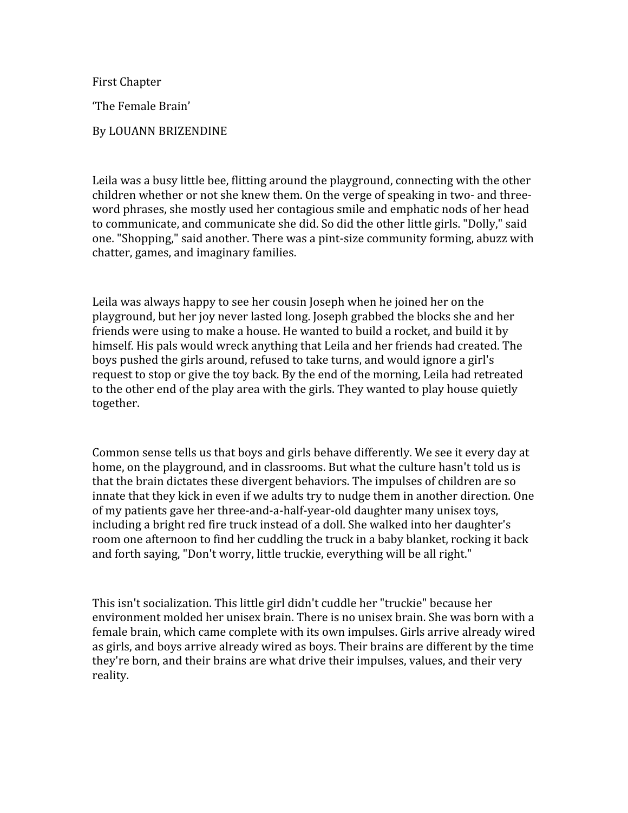First
Chapter

'The
Female
Brain'

By
LOUANN
BRIZENDINE

Leila was a busy little bee, flitting around the playground, connecting with the other children whether or not she knew them. On the verge of speaking in two- and threeword phrases, she mostly used her contagious smile and emphatic nods of her head to communicate, and communicate she did. So did the other little girls. "Dolly," said one.
"Shopping,"
said
another.
There
was
a
pint‐size
community
forming,
abuzz
with chatter,
games,
and
imaginary
families.

Leila was always happy to see her cousin Joseph when he joined her on the playground,
but
her
joy
never
lasted
long.
Joseph
grabbed
the
blocks
she
and
her friends were using to make a house. He wanted to build a rocket, and build it by himself.
His
pals
would
wreck
anything
that
Leila
and
her
friends
had
created.
The boys
pushed
the
girls
around,
refused
to
take
turns,
and
would
ignore
a
girl's request to stop or give the toy back. By the end of the morning, Leila had retreated to the other end of the play area with the girls. They wanted to play house quietly together.

Common sense tells us that boys and girls behave differently. We see it every day at home, on the playground, and in classrooms. But what the culture hasn't told us is that the brain dictates these divergent behaviors. The impulses of children are so innate
that
they
kick
in
even
if
we
adults
try
to
nudge
them
in
another
direction.
One of
my
patients
gave
her
three‐and‐a‐half‐year‐old
daughter
many
unisex
toys, including
a
bright
red
fire
truck
instead
of
a
doll.
She
walked
into
her
daughter's room one afternoon to find her cuddling the truck in a baby blanket, rocking it back and
forth
saying,
"Don't
worry,
little
truckie,
everything
will
be
all
right."

This isn't socialization. This little girl didn't cuddle her "truckie" because her environment molded her unisex brain. There is no unisex brain. She was born with a female brain, which came complete with its own impulses. Girls arrive already wired as
girls,
and
boys
arrive
already
wired
as
boys.
Their
brains
are
different
by
the
time they're born, and their brains are what drive their impulses, values, and their very reality.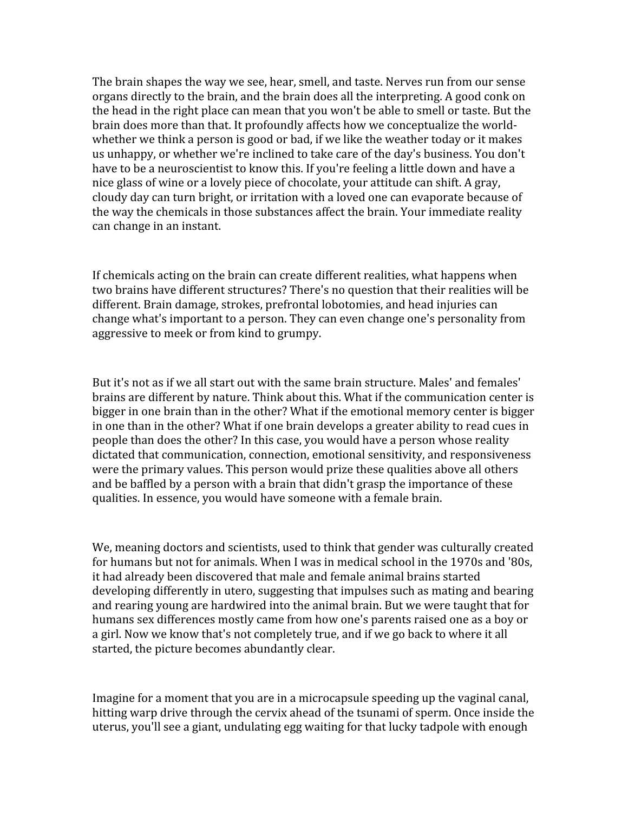The brain shapes the way we see, hear, smell, and taste. Nerves run from our sense organs directly to the brain, and the brain does all the interpreting. A good conk on the head in the right place can mean that you won't be able to smell or taste. But the brain does more than that. It profoundly affects how we conceptualize the worldwhether we think a person is good or bad, if we like the weather today or it makes us
unhappy,
or
whether
we're
inclined
to
take
care
of
the
day's
business.
You
don't have to be a neuroscientist to know this. If you're feeling a little down and have a nice
glass
of
wine
or
a
lovely
piece
of
chocolate,
your
attitude
can
shift.
A
gray, cloudy
day
can
turn
bright,
or
irritation
with
a
loved
one
can
evaporate
because
of the way the chemicals in those substances affect the brain. Your immediate reality can
change
in
an
instant.

If chemicals acting on the brain can create different realities, what happens when two brains have different structures? There's no question that their realities will be different. Brain damage, strokes, prefrontal lobotomies, and head injuries can change what's important to a person. They can even change one's personality from aggressive
to
meek
or
from
kind
to
grumpy.

But it's not as if we all start out with the same brain structure. Males' and females' brains
are
different
by
nature.
Think
about
this.
What
if
the
communication
center
is bigger
in
one
brain
than
in
the
other?
What
if
the
emotional
memory
center
is
bigger in one than in the other? What if one brain develops a greater ability to read cues in people
than
does
the
other?
In
this
case,
you
would
have
a
person
whose
reality dictated
that
communication,
connection,
emotional
sensitivity,
and
responsiveness were the primary values. This person would prize these qualities above all others and
be
baffled
by
a
person
with
a
brain
that
didn't
grasp
the
importance
of
these qualities.
In
essence,
you
would
have
someone
with
a
female
brain.

We, meaning doctors and scientists, used to think that gender was culturally created for humans but not for animals. When I was in medical school in the 1970s and '80s, it
had
already
been
discovered
that
male
and
female
animal
brains
started developing differently in utero, suggesting that impulses such as mating and bearing and
rearing
young
are
hardwired
into
the
animal
brain.
But
we
were
taught
that
for humans sex differences mostly came from how one's parents raised one as a boy or a girl. Now we know that's not completely true, and if we go back to where it all started,
the
picture
becomes
abundantly
clear.

Imagine for a moment that you are in a microcapsule speeding up the vaginal canal, hitting warp drive through the cervix ahead of the tsunami of sperm. Once inside the uterus, you'll see a giant, undulating egg waiting for that lucky tadpole with enough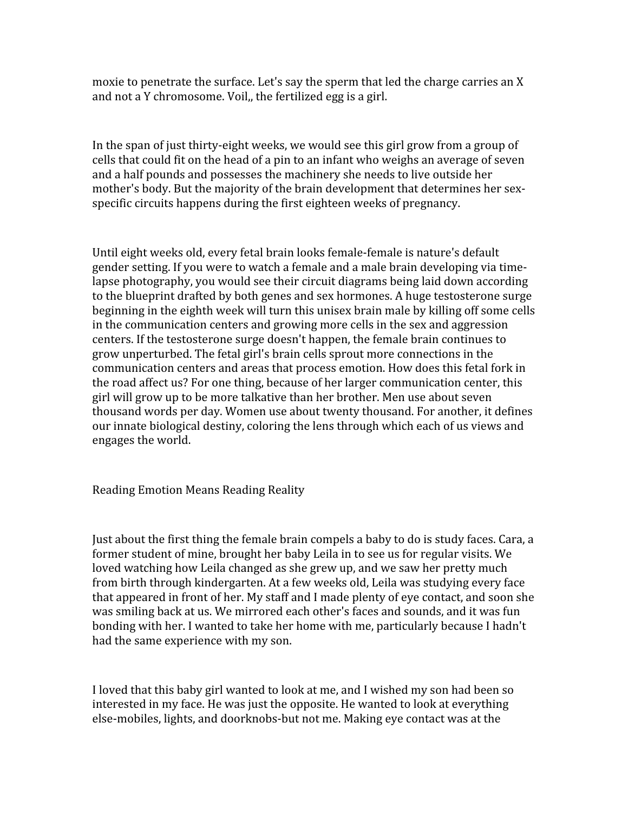moxie to penetrate the surface. Let's say the sperm that led the charge carries an X and not a Y chromosome. Voil, the fertilized egg is a girl.

In the span of just thirty-eight weeks, we would see this girl grow from a group of cells
that
could
fit
on
the
head
of
a
pin
to
an
infant
who
weighs
an
average
of
seven and
a
half
pounds
and
possesses
the
machinery
she
needs
to
live
outside
her mother's body. But the majority of the brain development that determines her sexspecific circuits happens during the first eighteen weeks of pregnancy.

Until eight weeks old, every fetal brain looks female-female is nature's default gender
setting.
If
you
were
to
watch
a
female
and
a
male
brain
developing
via
time‐ lapse
photography,
you
would
see
their
circuit
diagrams
being
laid
down
according to
the
blueprint
drafted
by
both
genes
and
sex
hormones.
A
huge
testosterone
surge beginning in the eighth week will turn this unisex brain male by killing off some cells in the communication centers and growing more cells in the sex and aggression centers.
If
the
testosterone
surge
doesn't
happen,
the
female
brain
continues
to grow
unperturbed.
The
fetal
girl's
brain
cells
sprout
more
connections
in
the communication
centers
and
areas
that
process
emotion.
How
does
this
fetal
fork
in the
road
affect
us?
For
one
thing,
because
of
her
larger
communication
center,
this girl
will
grow
up
to
be
more
talkative
than
her
brother.
Men
use
about
seven thousand
words
per
day.
Women
use
about
twenty
thousand.
For
another,
it
defines our
innate
biological
destiny,
coloring
the
lens
through
which
each
of
us
views
and engages
the
world.

Reading
Emotion
Means
Reading
Reality

Just about the first thing the female brain compels a baby to do is study faces. Cara, a former student of mine, brought her baby Leila in to see us for regular visits. We loved watching how Leila changed as she grew up, and we saw her pretty much from
birth
through
kindergarten.
At
a
few
weeks
old,
Leila
was
studying
every
face that
appeared
in
front
of
her.
My
staff
and
I
made
plenty
of
eye
contact,
and
soon
she was smiling back at us. We mirrored each other's faces and sounds, and it was fun bonding
with
her.
I
wanted
to
take
her
home
with
me,
particularly
because
I
hadn't had
the
same
experience
with
my
son.

I loved that this baby girl wanted to look at me, and I wished my son had been so interested
in
my
face.
He
was
just
the
opposite.
He
wanted
to
look
at
everything else-mobiles, lights, and doorknobs-but not me. Making eye contact was at the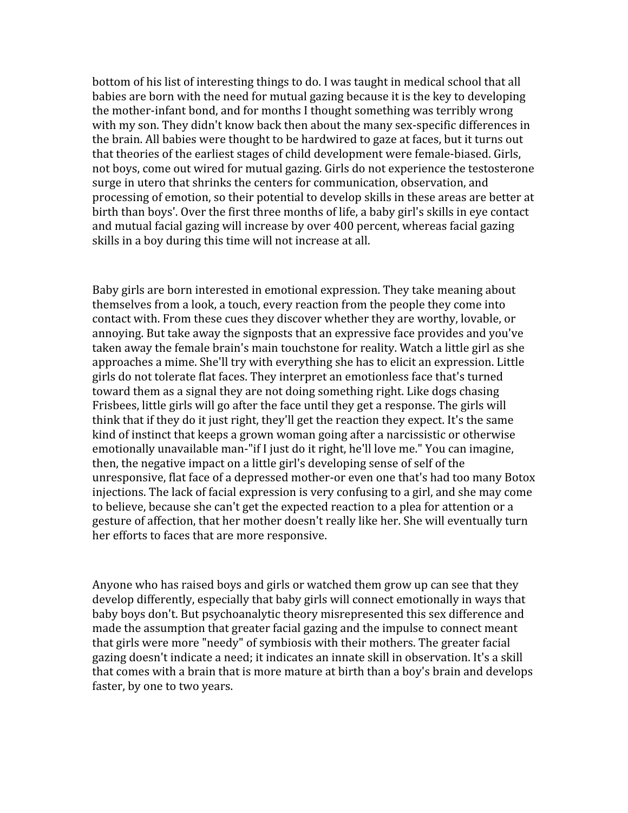bottom of his list of interesting things to do. I was taught in medical school that all babies
are
born
with
the
need
for
mutual
gazing
because
it
is
the
key
to
developing the mother-infant bond, and for months I thought something was terribly wrong with my son. They didn't know back then about the many sex-specific differences in the
brain.
All
babies
were
thought
to
be
hardwired
to
gaze
at
faces,
but
it
turns
out that theories of the earliest stages of child development were female-biased. Girls, not
boys,
come
out
wired
for
mutual
gazing.
Girls
do
not
experience
the
testosterone surge
in
utero
that
shrinks
the
centers
for
communication,
observation,
and processing
of
emotion,
so
their
potential
to
develop
skills
in
these
areas
are
better
at birth than boys'. Over the first three months of life, a baby girl's skills in eye contact and mutual facial gazing will increase by over 400 percent, whereas facial gazing skills in a boy during this time will not increase at all.

Baby
girls
are
born
interested
in
emotional
expression.
They
take
meaning
about themselves
from
a
look,
a
touch,
every
reaction
from
the
people
they
come
into contact
with.
From
these
cues
they
discover
whether
they
are
worthy,
lovable,
or annoying. But take away the signposts that an expressive face provides and you've taken away the female brain's main touchstone for reality. Watch a little girl as she approaches
a
mime.
She'll
try
with
everything
she
has
to
elicit
an
expression.
Little girls
do
not
tolerate
flat
faces.
They
interpret
an
emotionless
face
that's
turned toward them as a signal they are not doing something right. Like dogs chasing Frisbees, little girls will go after the face until they get a response. The girls will think that if they do it just right, they'll get the reaction they expect. It's the same kind of instinct that keeps a grown woman going after a narcissistic or otherwise emotionally
unavailable
man‐"if
I
just
do
it
right,
he'll
love
me."
You
can
imagine, then, the negative impact on a little girl's developing sense of self of the unresponsive,
flat
face
of
a
depressed
mother‐or
even
one
that's
had
too
many
Botox injections. The lack of facial expression is very confusing to a girl, and she may come to believe, because she can't get the expected reaction to a plea for attention or a gesture
of
affection,
that
her
mother
doesn't
really
like
her.
She
will
eventually
turn her
efforts
to
faces
that
are
more
responsive.

Anyone who has raised boys and girls or watched them grow up can see that they develop differently, especially that baby girls will connect emotionally in ways that baby
boys
don't.
But
psychoanalytic
theory
misrepresented
this
sex
difference
and made
the
assumption
that
greater
facial
gazing
and
the
impulse
to
connect
meant that
girls
were
more
"needy"
of
symbiosis
with
their
mothers.
The
greater
facial gazing doesn't indicate a need; it indicates an innate skill in observation. It's a skill that comes with a brain that is more mature at birth than a boy's brain and develops faster, by one to two years.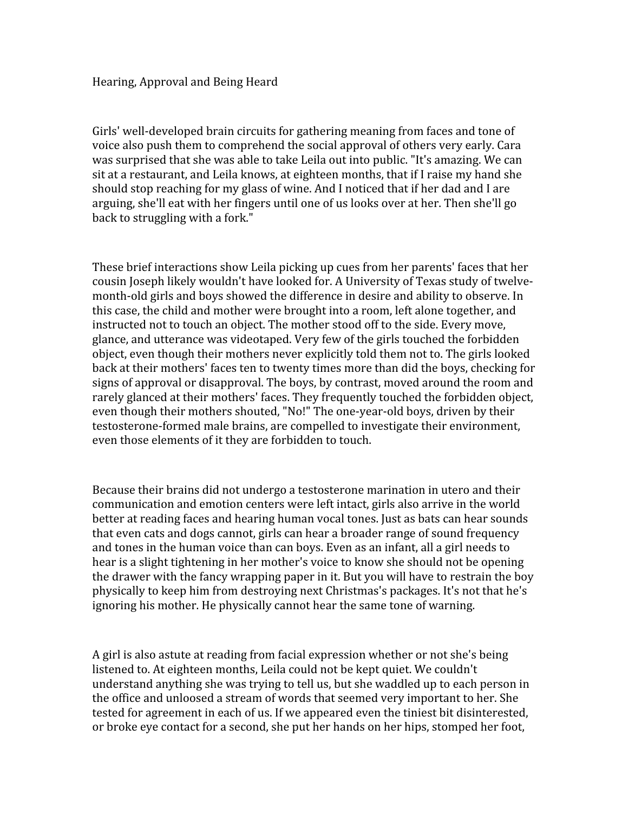Girls' well-developed brain circuits for gathering meaning from faces and tone of voice
also
push
them
to
comprehend
the
social
approval
of
others
very
early.
Cara was surprised that she was able to take Leila out into public. "It's amazing. We can sit at a restaurant, and Leila knows, at eighteen months, that if I raise my hand she should stop reaching for my glass of wine. And I noticed that if her dad and I are arguing,
she'll
eat
with
her
fingers
until
one
of
us
looks
over
at
her.
Then
she'll
go back
to
struggling
with
a
fork."

These
brief
interactions
show
Leila
picking
up
cues
from
her
parents'
faces
that
her cousin
Joseph
likely
wouldn't
have
looked
for.
A
University
of
Texas
study
of
twelve‐ month-old girls and boys showed the difference in desire and ability to observe. In this
case,
the
child
and
mother
were
brought
into
a
room,
left
alone
together,
and instructed not to touch an object. The mother stood off to the side. Every move, glance,
and
utterance
was
videotaped.
Very
few
of
the
girls
touched
the
forbidden object,
even
though
their
mothers
never
explicitly
told
them
not
to.
The
girls
looked back
at
their
mothers'
faces
ten
to
twenty
times
more
than
did
the
boys,
checking
for signs of approval or disapproval. The boys, by contrast, moved around the room and rarely
glanced
at
their
mothers'
faces.
They
frequently
touched
the
forbidden
object, even though their mothers shouted, "No!" The one-year-old boys, driven by their testosterone‐formed
male
brains,
are
compelled
to
investigate
their
environment, even
those
elements
of
it
they
are
forbidden
to
touch.

Because
their
brains
did
not
undergo
a
testosterone
marination
in
utero
and
their communication
and
emotion
centers
were
left
intact,
girls
also
arrive
in
the
world better at reading faces and hearing human vocal tones. Just as bats can hear sounds that
even
cats
and
dogs
cannot,
girls
can
hear
a
broader
range
of
sound
frequency and
tones
in
the
human
voice
than
can
boys.
Even
as
an
infant,
all
a
girl
needs
to hear is a slight tightening in her mother's voice to know she should not be opening the
drawer
with
the
fancy
wrapping
paper
in
it.
But
you
will
have
to
restrain
the
boy physically
to
keep
him
from
destroying
next
Christmas's
packages.
It's
not
that
he's ignoring
his
mother.
He
physically
cannot
hear
the
same
tone
of
warning.

A girl is also astute at reading from facial expression whether or not she's being listened
to.
At
eighteen
months,
Leila
could
not
be
kept
quiet.
We
couldn't understand anything she was trying to tell us, but she waddled up to each person in the
office
and
unloosed
a
stream
of
words
that
seemed
very
important
to
her.
She tested for agreement in each of us. If we appeared even the tiniest bit disinterested, or
broke
eye
contact
for
a
second,
she
put
her
hands
on
her
hips,
stomped
her
foot,